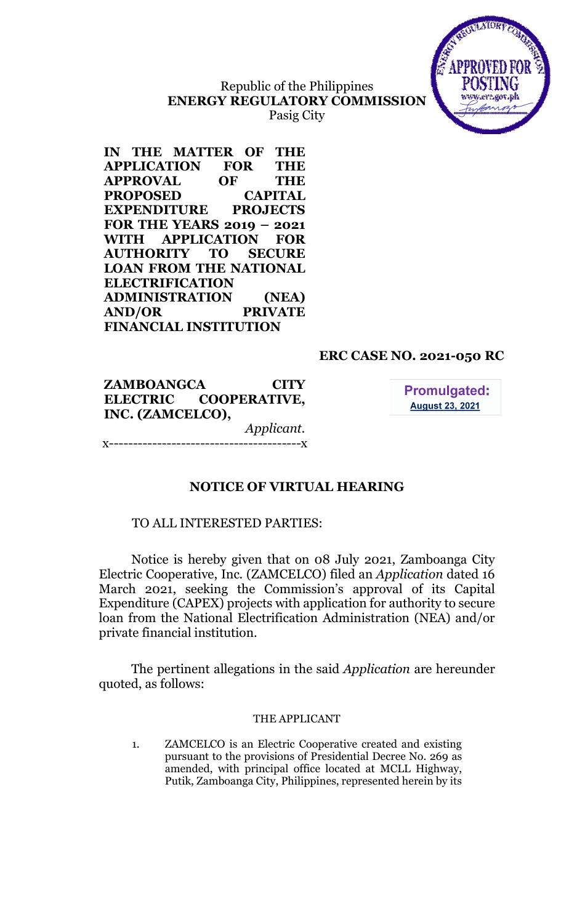## Republic of the Philippines ENERGY REGULATORY COMMISSION Pasig City



IN THE MATTER OF THE APPLICATION FOR THE APPROVAL OF THE PROPOSED CAPITAL EXPENDITURE PROJECTS FOR THE YEARS 2019 – 2021 WITH APPLICATION FOR AUTHORITY TO SECURE LOAN FROM THE NATIONAL ELECTRIFICATION ADMINISTRATION (NEA) AND/OR PRIVATE FINANCIAL INSTITUTION

## ERC CASE NO. 2021-050 RC

ZAMBOANGCA CITY ELECTRIC COOPERATIVE, INC. (ZAMCELCO), Applicant. ---------**-**

**Promulgated: August 23, 2021** 

## NOTICE OF VIRTUAL HEARING

### TO ALL INTERESTED PARTIES:

Notice is hereby given that on 08 July 2021, Zamboanga City Electric Cooperative, Inc. (ZAMCELCO) filed an Application dated 16 March 2021, seeking the Commission's approval of its Capital Expenditure (CAPEX) projects with application for authority to secure loan from the National Electrification Administration (NEA) and/or private financial institution.

The pertinent allegations in the said *Application* are hereunder quoted, as follows:

#### THE APPLICANT

1. ZAMCELCO is an Electric Cooperative created and existing pursuant to the provisions of Presidential Decree No. 269 as amended, with principal office located at MCLL Highway, Putik, Zamboanga City, Philippines, represented herein by its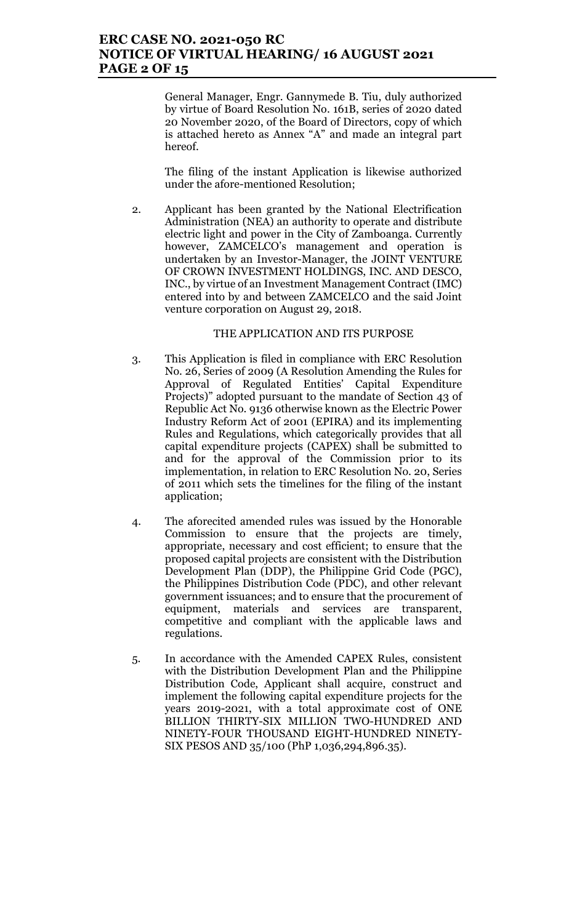### ERC CASE NO. 2021-050 RC NOTICE OF VIRTUAL HEARING/ 16 AUGUST 2021 PAGE 2 OF 15

General Manager, Engr. Gannymede B. Tiu, duly authorized by virtue of Board Resolution No. 161B, series of 2020 dated 20 November 2020, of the Board of Directors, copy of which is attached hereto as Annex "A" and made an integral part hereof.

The filing of the instant Application is likewise authorized under the afore-mentioned Resolution;

2. Applicant has been granted by the National Electrification Administration (NEA) an authority to operate and distribute electric light and power in the City of Zamboanga. Currently however, ZAMCELCO's management and operation is undertaken by an Investor-Manager, the JOINT VENTURE OF CROWN INVESTMENT HOLDINGS, INC. AND DESCO, INC., by virtue of an Investment Management Contract (IMC) entered into by and between ZAMCELCO and the said Joint venture corporation on August 29, 2018.

#### THE APPLICATION AND ITS PURPOSE

- 3. This Application is filed in compliance with ERC Resolution No. 26, Series of 2009 (A Resolution Amending the Rules for Approval of Regulated Entities' Capital Expenditure Projects)" adopted pursuant to the mandate of Section 43 of Republic Act No. 9136 otherwise known as the Electric Power Industry Reform Act of 2001 (EPIRA) and its implementing Rules and Regulations, which categorically provides that all capital expenditure projects (CAPEX) shall be submitted to and for the approval of the Commission prior to its implementation, in relation to ERC Resolution No. 20, Series of 2011 which sets the timelines for the filing of the instant application;
- 4. The aforecited amended rules was issued by the Honorable Commission to ensure that the projects are timely, appropriate, necessary and cost efficient; to ensure that the proposed capital projects are consistent with the Distribution Development Plan (DDP), the Philippine Grid Code (PGC), the Philippines Distribution Code (PDC), and other relevant government issuances; and to ensure that the procurement of equipment, materials and services are transparent, competitive and compliant with the applicable laws and regulations.
- 5. In accordance with the Amended CAPEX Rules, consistent with the Distribution Development Plan and the Philippine Distribution Code, Applicant shall acquire, construct and implement the following capital expenditure projects for the years 2019-2021, with a total approximate cost of ONE BILLION THIRTY-SIX MILLION TWO-HUNDRED AND NINETY-FOUR THOUSAND EIGHT-HUNDRED NINETY-SIX PESOS AND 35/100 (PhP 1,036,294,896.35).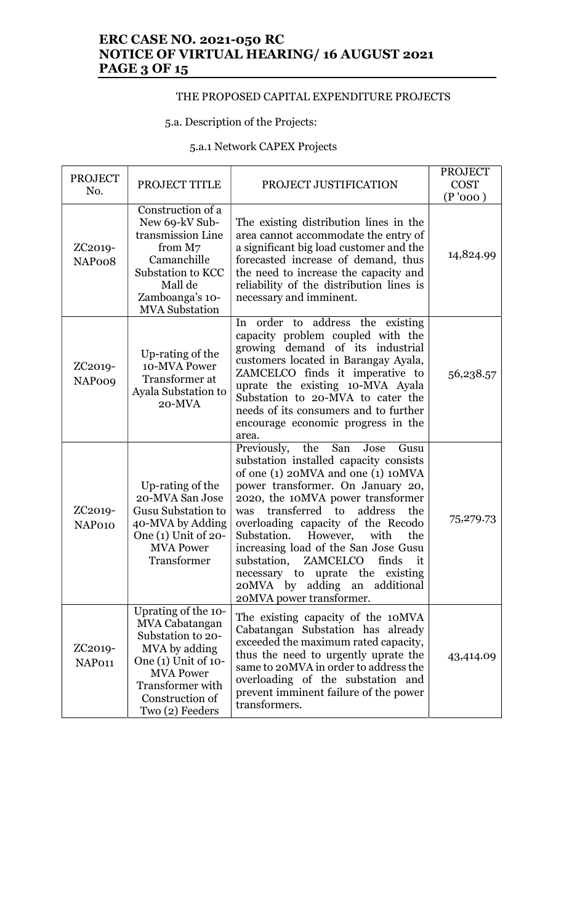## ERC CASE NO. 2021-050 RC NOTICE OF VIRTUAL HEARING/ 16 AUGUST 2021 **PAGE 3 OF 15**

### THE PROPOSED CAPITAL EXPENDITURE PROJECTS

#### 5.a. Description of the Projects:

# 5.a.1 Network CAPEX Projects

| <b>PROJECT</b>                        |                                                                                                                                                                                              |                                                                                                                                                                                                                                                                                                                                                                                                                                                                                                                   | <b>PROJECT</b> |
|---------------------------------------|----------------------------------------------------------------------------------------------------------------------------------------------------------------------------------------------|-------------------------------------------------------------------------------------------------------------------------------------------------------------------------------------------------------------------------------------------------------------------------------------------------------------------------------------------------------------------------------------------------------------------------------------------------------------------------------------------------------------------|----------------|
| No.                                   | PROJECT TITLE                                                                                                                                                                                | PROJECT JUSTIFICATION                                                                                                                                                                                                                                                                                                                                                                                                                                                                                             | <b>COST</b>    |
|                                       |                                                                                                                                                                                              |                                                                                                                                                                                                                                                                                                                                                                                                                                                                                                                   | (P'000)        |
| ZC <sub>2019</sub> -<br>NAPoo8        | Construction of a<br>New 69-kV Sub-<br>transmission Line<br>from M7<br>Camanchille<br>Substation to KCC<br>Mall de<br>Zamboanga's 10-<br><b>MVA</b> Substation                               | The existing distribution lines in the<br>area cannot accommodate the entry of<br>a significant big load customer and the<br>forecasted increase of demand, thus<br>the need to increase the capacity and<br>reliability of the distribution lines is<br>necessary and imminent.                                                                                                                                                                                                                                  | 14,824.99      |
| ZC <sub>2019</sub> -<br><b>NAPoo9</b> | Up-rating of the<br>10-MVA Power<br>Transformer at<br>Ayala Substation to<br>20-MVA                                                                                                          | In order to address the existing<br>capacity problem coupled with the<br>growing demand of its industrial<br>customers located in Barangay Ayala,<br>ZAMCELCO finds it imperative to<br>uprate the existing 10-MVA Ayala<br>Substation to 20-MVA to cater the<br>needs of its consumers and to further<br>encourage economic progress in the<br>area.                                                                                                                                                             | 56,238.57      |
| ZC <sub>2019</sub> -<br>NAP010        | Up-rating of the<br>20-MVA San Jose<br><b>Gusu Substation to</b><br>40-MVA by Adding<br>One $(1)$ Unit of 20-<br><b>MVA Power</b><br>Transformer                                             | Previously,<br>the<br>San<br>Jose<br>Gusu<br>substation installed capacity consists<br>of one (1) 20MVA and one (1) 10MVA<br>power transformer. On January 20,<br>2020, the 10MVA power transformer<br>transferred to address<br>the<br>was<br>overloading capacity of the Recodo<br>Substation.<br>However,<br>with<br>the<br>increasing load of the San Jose Gusu<br>ZAMCELCO<br>substation,<br>finds<br>it<br>necessary to uprate the<br>existing<br>20MVA by adding an additional<br>20MVA power transformer. | 75,279.73      |
| ZC <sub>2019</sub> -<br>NAP011        | Uprating of the 10-<br><b>MVA Cabatangan</b><br>Substation to 20-<br>MVA by adding<br>One $(1)$ Unit of $10$ -<br><b>MVA Power</b><br>Transformer with<br>Construction of<br>Two (2) Feeders | The existing capacity of the 10MVA<br>Cabatangan Substation has already<br>exceeded the maximum rated capacity,<br>thus the need to urgently uprate the<br>same to 20 MVA in order to address the<br>overloading of the substation and<br>prevent imminent failure of the power<br>transformers.                                                                                                                                                                                                                  | 43,414.09      |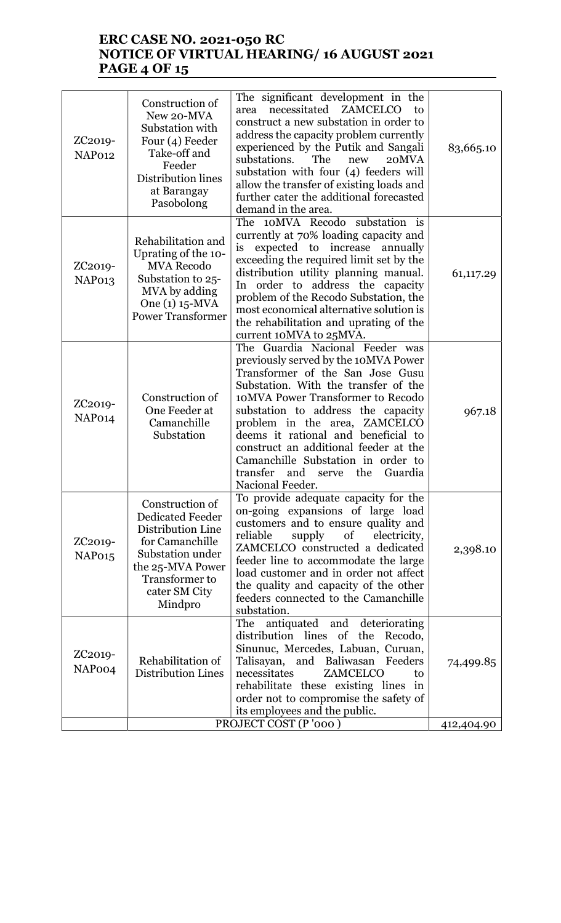## ERC CASE NO. 2021-050 RC NOTICE OF VIRTUAL HEARING/ 16 AUGUST 2021 PAGE 4 OF 15

| The 10MVA Recodo substation is<br>currently at 70% loading capacity and<br>Rehabilitation and<br>expected to increase annually<br>is<br>Uprating of the 10-<br>exceeding the required limit set by the<br><b>MVA Recodo</b><br>ZC <sub>2019</sub> -<br>distribution utility planning manual.<br>61,117.29<br>Substation to 25-<br>NAP013<br>In order to address the capacity<br>MVA by adding<br>problem of the Recodo Substation, the<br>One (1) 15-MVA<br>most economical alternative solution is<br><b>Power Transformer</b><br>the rehabilitation and uprating of the<br>current 10MVA to 25MVA.<br>The Guardia Nacional Feeder was<br>previously served by the 10MVA Power<br>Transformer of the San Jose Gusu<br>Substation. With the transfer of the<br>10MVA Power Transformer to Recodo<br>Construction of<br>ZC <sub>2019</sub> -<br>One Feeder at<br>substation to address the capacity<br>967.18<br>NAP014<br>Camanchille<br>problem in the area, ZAMCELCO<br>Substation<br>deems it rational and beneficial to<br>construct an additional feeder at the<br>Camanchille Substation in order to<br>transfer<br>and<br>the<br>Guardia<br>serve<br>Nacional Feeder.<br>To provide adequate capacity for the<br>Construction of<br>on-going expansions of large load<br><b>Dedicated Feeder</b><br>customers and to ensure quality and<br>Distribution Line<br>reliable<br>supply<br>of<br>electricity,<br>for Camanchille<br>ZC <sub>2019</sub> -<br>ZAMCELCO constructed a dedicated<br>2,398.10<br>Substation under<br>NAP <sub>015</sub><br>feeder line to accommodate the large<br>the 25-MVA Power<br>load customer and in order not affect<br>Transformer to<br>the quality and capacity of the other<br>cater SM City<br>feeders connected to the Camanchille<br>Mindpro<br>substation.<br>antiquated and deteriorating<br>The<br>distribution lines<br>of the<br>Recodo,<br>Sinunuc, Mercedes, Labuan, Curuan,<br>ZC <sub>2019</sub> -<br>Rehabilitation of<br>Talisayan, and Baliwasan Feeders<br>74,499.85<br>NAPoo <sub>4</sub><br><b>Distribution Lines</b><br>necessitates<br>ZAMCELCO<br>to<br>rehabilitate these existing lines in<br>order not to compromise the safety of<br>its employees and the public. | ZC <sub>2019</sub> -<br>NAP012 | Construction of<br>New 20-MVA<br>Substation with<br>Four $(4)$ Feeder<br>Take-off and<br>Feeder<br>Distribution lines<br>at Barangay<br>Pasobolong | The significant development in the<br>necessitated ZAMCELCO<br>area<br>to<br>construct a new substation in order to<br>address the capacity problem currently<br>experienced by the Putik and Sangali<br>substations.<br>The<br>20MVA<br>new<br>substation with four (4) feeders will<br>allow the transfer of existing loads and<br>further cater the additional forecasted<br>demand in the area. | 83,665.10  |
|--------------------------------------------------------------------------------------------------------------------------------------------------------------------------------------------------------------------------------------------------------------------------------------------------------------------------------------------------------------------------------------------------------------------------------------------------------------------------------------------------------------------------------------------------------------------------------------------------------------------------------------------------------------------------------------------------------------------------------------------------------------------------------------------------------------------------------------------------------------------------------------------------------------------------------------------------------------------------------------------------------------------------------------------------------------------------------------------------------------------------------------------------------------------------------------------------------------------------------------------------------------------------------------------------------------------------------------------------------------------------------------------------------------------------------------------------------------------------------------------------------------------------------------------------------------------------------------------------------------------------------------------------------------------------------------------------------------------------------------------------------------------------------------------------------------------------------------------------------------------------------------------------------------------------------------------------------------------------------------------------------------------------------------------------------------------------------------------------------------------------------------------------------------------------------------------------------------------------------------|--------------------------------|----------------------------------------------------------------------------------------------------------------------------------------------------|-----------------------------------------------------------------------------------------------------------------------------------------------------------------------------------------------------------------------------------------------------------------------------------------------------------------------------------------------------------------------------------------------------|------------|
|                                                                                                                                                                                                                                                                                                                                                                                                                                                                                                                                                                                                                                                                                                                                                                                                                                                                                                                                                                                                                                                                                                                                                                                                                                                                                                                                                                                                                                                                                                                                                                                                                                                                                                                                                                                                                                                                                                                                                                                                                                                                                                                                                                                                                                      |                                |                                                                                                                                                    |                                                                                                                                                                                                                                                                                                                                                                                                     |            |
|                                                                                                                                                                                                                                                                                                                                                                                                                                                                                                                                                                                                                                                                                                                                                                                                                                                                                                                                                                                                                                                                                                                                                                                                                                                                                                                                                                                                                                                                                                                                                                                                                                                                                                                                                                                                                                                                                                                                                                                                                                                                                                                                                                                                                                      |                                |                                                                                                                                                    |                                                                                                                                                                                                                                                                                                                                                                                                     |            |
|                                                                                                                                                                                                                                                                                                                                                                                                                                                                                                                                                                                                                                                                                                                                                                                                                                                                                                                                                                                                                                                                                                                                                                                                                                                                                                                                                                                                                                                                                                                                                                                                                                                                                                                                                                                                                                                                                                                                                                                                                                                                                                                                                                                                                                      |                                |                                                                                                                                                    |                                                                                                                                                                                                                                                                                                                                                                                                     |            |
|                                                                                                                                                                                                                                                                                                                                                                                                                                                                                                                                                                                                                                                                                                                                                                                                                                                                                                                                                                                                                                                                                                                                                                                                                                                                                                                                                                                                                                                                                                                                                                                                                                                                                                                                                                                                                                                                                                                                                                                                                                                                                                                                                                                                                                      |                                |                                                                                                                                                    | PROJECT COST (P'000)                                                                                                                                                                                                                                                                                                                                                                                | 412,404.90 |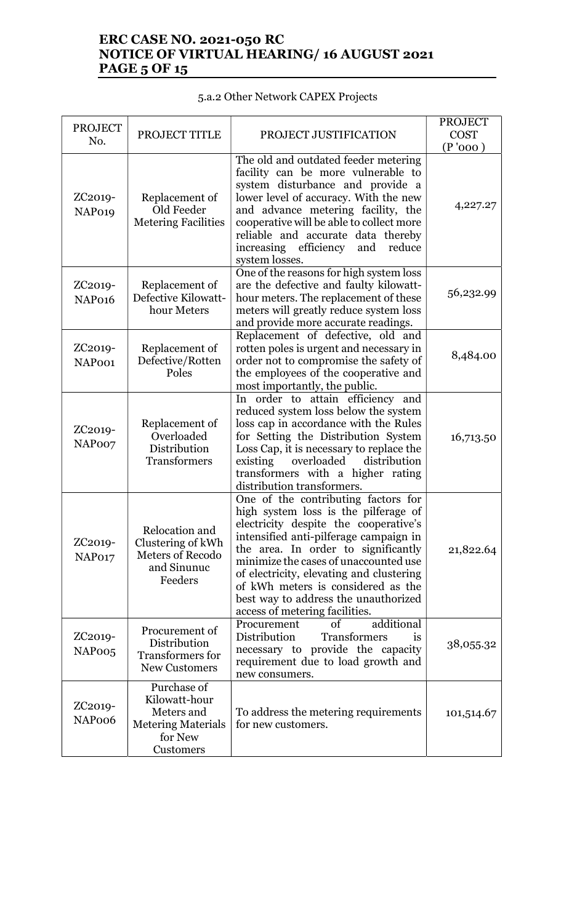## ERC CASE NO. 2021-050 RC NOTICE OF VIRTUAL HEARING/ 16 AUGUST 2021 **PAGE 5 OF 15**

# 5.a.2 Other Network CAPEX Projects

| <b>PROJECT</b><br>No.                      | PROJECT TITLE                                                                                   | PROJECT JUSTIFICATION                                                                                                                                                                                                                                                                                                                                                                                      | <b>PROJECT</b><br><b>COST</b><br>(P'000) |
|--------------------------------------------|-------------------------------------------------------------------------------------------------|------------------------------------------------------------------------------------------------------------------------------------------------------------------------------------------------------------------------------------------------------------------------------------------------------------------------------------------------------------------------------------------------------------|------------------------------------------|
| ZC2019-<br>NAP019                          | Replacement of<br>Old Feeder<br><b>Metering Facilities</b>                                      | The old and outdated feeder metering<br>facility can be more vulnerable to<br>system disturbance and provide a<br>lower level of accuracy. With the new<br>and advance metering facility, the<br>cooperative will be able to collect more<br>reliable and accurate data thereby<br>increasing efficiency<br>and<br>reduce<br>system losses.                                                                | 4,227.27                                 |
| ZC2019-<br>NAP <sub>016</sub>              | Replacement of<br>Defective Kilowatt-<br>hour Meters                                            | One of the reasons for high system loss<br>are the defective and faulty kilowatt-<br>hour meters. The replacement of these<br>meters will greatly reduce system loss<br>and provide more accurate readings.                                                                                                                                                                                                | 56,232.99                                |
| ZC <sub>2019</sub> -<br>NAPoo1             | Replacement of<br>Defective/Rotten<br>Poles                                                     | Replacement of defective, old and<br>rotten poles is urgent and necessary in<br>order not to compromise the safety of<br>the employees of the cooperative and<br>most importantly, the public.                                                                                                                                                                                                             | 8,484.00                                 |
| ZC <sub>2019</sub> -<br>NAPoo7             | Replacement of<br>Overloaded<br>Distribution<br><b>Transformers</b>                             | In order to attain efficiency and<br>reduced system loss below the system<br>loss cap in accordance with the Rules<br>for Setting the Distribution System<br>Loss Cap, it is necessary to replace the<br>distribution<br>existing<br>overloaded<br>transformers with a higher rating<br>distribution transformers.                                                                                         | 16,713.50                                |
| ZC2019-<br>NAP017                          | Relocation and<br>Clustering of kWh<br><b>Meters of Recodo</b><br>and Sinunuc<br>Feeders        | One of the contributing factors for<br>high system loss is the pilferage of<br>electricity despite the cooperative's<br>intensified anti-pilferage campaign in<br>the area. In order to significantly<br>minimize the cases of unaccounted use<br>of electricity, elevating and clustering<br>of kWh meters is considered as the<br>best way to address the unauthorized<br>access of metering facilities. | 21,822.64                                |
| ZC <sub>2019</sub> -<br>NAPoo <sub>5</sub> | Procurement of<br>Distribution<br><b>Transformers for</b><br><b>New Customers</b>               | additional<br>Procurement<br>of<br>Distribution<br>Transformers<br><b>1S</b><br>necessary to provide the capacity<br>requirement due to load growth and<br>new consumers.                                                                                                                                                                                                                                  | 38,055.32                                |
| ZC <sub>2019</sub> -<br>NAPoo6             | Purchase of<br>Kilowatt-hour<br>Meters and<br><b>Metering Materials</b><br>for New<br>Customers | To address the metering requirements<br>for new customers.                                                                                                                                                                                                                                                                                                                                                 | 101,514.67                               |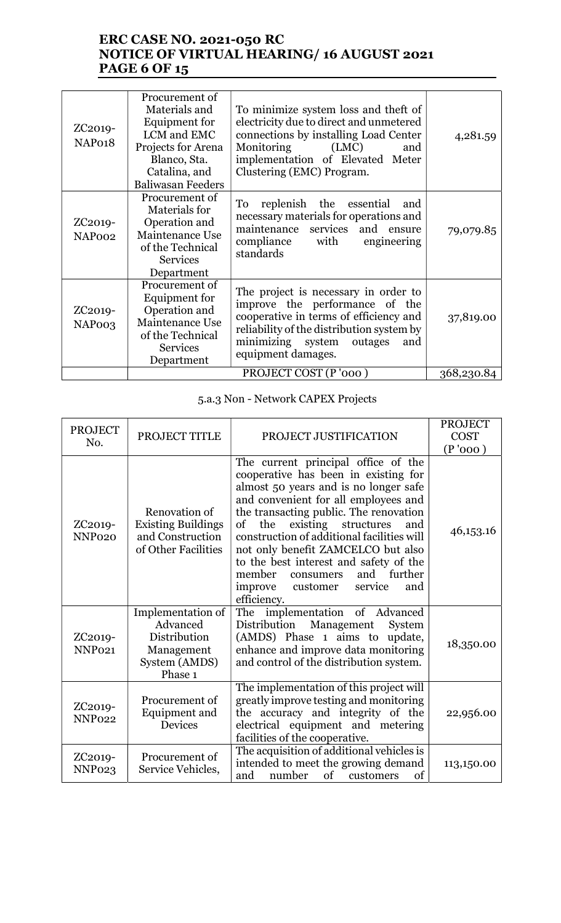## ERC CASE NO. 2021-050 RC NOTICE OF VIRTUAL HEARING/ 16 AUGUST 2021 **PAGE 6 OF 15**

| ZC <sub>2019</sub> -<br>NAP018             | Procurement of<br>Materials and<br>Equipment for<br>LCM and EMC<br>Projects for Arena<br>Blanco, Sta.<br>Catalina, and<br><b>Baliwasan Feeders</b> | To minimize system loss and theft of<br>electricity due to direct and unmetered<br>connections by installing Load Center<br>Monitoring<br>(LMC)<br>and<br>implementation of Elevated Meter<br>Clustering (EMC) Program.    | 4,281.59   |
|--------------------------------------------|----------------------------------------------------------------------------------------------------------------------------------------------------|----------------------------------------------------------------------------------------------------------------------------------------------------------------------------------------------------------------------------|------------|
| ZC <sub>2019</sub> -<br>NAP <sub>002</sub> | Procurement of<br>Materials for<br>Operation and<br>Maintenance Use<br>of the Technical<br><b>Services</b><br>Department                           | replenish the essential<br>To<br>and<br>necessary materials for operations and<br>maintenance services and ensure<br>compliance with<br>engineering<br>standards                                                           | 79,079.85  |
| ZC <sub>2019</sub> -<br>NAP <sub>003</sub> | Procurement of<br>Equipment for<br>Operation and<br>Maintenance Use<br>of the Technical<br><b>Services</b><br>Department                           | The project is necessary in order to<br>improve the performance of the<br>cooperative in terms of efficiency and<br>reliability of the distribution system by<br>minimizing system<br>outages<br>and<br>equipment damages. | 37,819.00  |
|                                            |                                                                                                                                                    | PROJECT COST (P'000)                                                                                                                                                                                                       | 368,230.84 |

# 5.a.3 Non - Network CAPEX Projects

| <b>PROJECT</b><br>No.                      | PROJECT TITLE                                                                           | PROJECT JUSTIFICATION                                                                                                                                                                                                                                                                                                                                                                                                                                                            | <b>PROJECT</b><br><b>COST</b><br>(P'000) |
|--------------------------------------------|-----------------------------------------------------------------------------------------|----------------------------------------------------------------------------------------------------------------------------------------------------------------------------------------------------------------------------------------------------------------------------------------------------------------------------------------------------------------------------------------------------------------------------------------------------------------------------------|------------------------------------------|
| ZC <sub>2019</sub> -<br>NNP <sub>020</sub> | Renovation of<br><b>Existing Buildings</b><br>and Construction<br>of Other Facilities   | The current principal office of the<br>cooperative has been in existing for<br>almost 50 years and is no longer safe<br>and convenient for all employees and<br>the transacting public. The renovation<br>existing structures<br>the<br>and<br>of<br>construction of additional facilities will<br>not only benefit ZAMCELCO but also<br>to the best interest and safety of the<br>and<br>member<br>further<br>consumers<br>improve<br>service<br>customer<br>and<br>efficiency. | 46,153.16                                |
| ZC2019-<br>NNP <sub>021</sub>              | Implementation of<br>Advanced<br>Distribution<br>Management<br>System (AMDS)<br>Phase 1 | The implementation of Advanced<br>Distribution Management<br>System<br>(AMDS) Phase 1 aims to update,<br>enhance and improve data monitoring<br>and control of the distribution system.                                                                                                                                                                                                                                                                                          | 18,350.00                                |
| ZC <sub>2019</sub> -<br><b>NNP022</b>      | Procurement of<br>Equipment and<br><b>Devices</b>                                       | The implementation of this project will<br>greatly improve testing and monitoring<br>the accuracy and integrity of the<br>electrical equipment and metering<br>facilities of the cooperative.                                                                                                                                                                                                                                                                                    | 22,956.00                                |
| ZC <sub>2019</sub> -<br>NNP <sub>023</sub> | Procurement of<br>Service Vehicles,                                                     | The acquisition of additional vehicles is<br>intended to meet the growing demand<br>number<br>of customers<br>and<br>of                                                                                                                                                                                                                                                                                                                                                          | 113,150.00                               |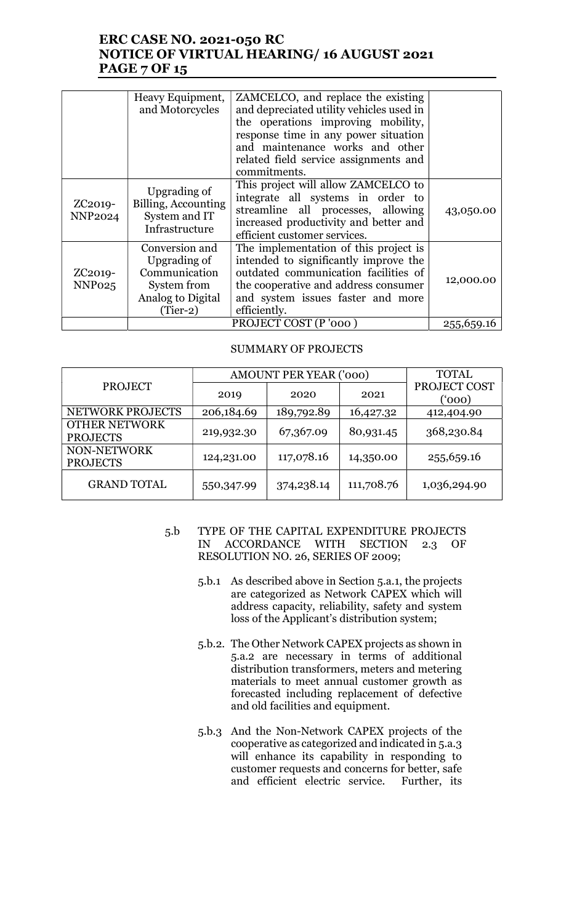## ERC CASE NO. 2021-050 RC NOTICE OF VIRTUAL HEARING/ 16 AUGUST 2021 PAGE 7 OF 15

|                                            | Heavy Equipment,<br>and Motorcycles                                                               | ZAMCELCO, and replace the existing<br>and depreciated utility vehicles used in<br>the operations improving mobility,<br>response time in any power situation<br>and maintenance works and other<br>related field service assignments and<br>commitments. |            |
|--------------------------------------------|---------------------------------------------------------------------------------------------------|----------------------------------------------------------------------------------------------------------------------------------------------------------------------------------------------------------------------------------------------------------|------------|
| ZC <sub>2019</sub> -<br><b>NNP2024</b>     | Upgrading of<br>Billing, Accounting<br>System and IT<br>Infrastructure                            | This project will allow ZAMCELCO to<br>integrate all systems in order to<br>streamline all processes, allowing<br>increased productivity and better and<br>efficient customer services.                                                                  | 43,050.00  |
| ZC <sub>2019</sub> -<br>NNP <sub>025</sub> | Conversion and<br>Upgrading of<br>Communication<br>System from<br>Analog to Digital<br>$(Tier-2)$ | The implementation of this project is<br>intended to significantly improve the<br>outdated communication facilities of<br>the cooperative and address consumer<br>and system issues faster and more<br>efficiently.                                      | 12,000.00  |
|                                            |                                                                                                   | PROJECT COST (P'000)                                                                                                                                                                                                                                     | 255,659.16 |

#### SUMMARY OF PROJECTS

|                                         | <b>AMOUNT PER YEAR ('000)</b> | <b>TOTAL</b> |            |                       |
|-----------------------------------------|-------------------------------|--------------|------------|-----------------------|
| <b>PROJECT</b>                          | 2019                          | 2020         | 2021       | PROJECT COST<br>(000) |
| NETWORK PROJECTS                        | 206,184.69                    | 189,792.89   | 16,427.32  | 412,404.90            |
| <b>OTHER NETWORK</b><br><b>PROJECTS</b> | 219,932.30                    | 67,367.09    | 80,931.45  | 368,230.84            |
| NON-NETWORK<br><b>PROJECTS</b>          | 124,231.00                    | 117,078.16   | 14,350.00  | 255,659.16            |
| <b>GRAND TOTAL</b>                      | 550,347.99                    | 374, 238.14  | 111,708.76 | 1,036,294.90          |

- 5.b TYPE OF THE CAPITAL EXPENDITURE PROJECTS IN ACCORDANCE WITH SECTION 2.3 OF RESOLUTION NO. 26, SERIES OF 2009;
	- 5.b.1 As described above in Section 5.a.1, the projects are categorized as Network CAPEX which will address capacity, reliability, safety and system loss of the Applicant's distribution system;
	- 5.b.2. The Other Network CAPEX projects as shown in 5.a.2 are necessary in terms of additional distribution transformers, meters and metering materials to meet annual customer growth as forecasted including replacement of defective and old facilities and equipment.
	- 5.b.3 And the Non-Network CAPEX projects of the cooperative as categorized and indicated in 5.a.3 will enhance its capability in responding to customer requests and concerns for better, safe and efficient electric service. Further, its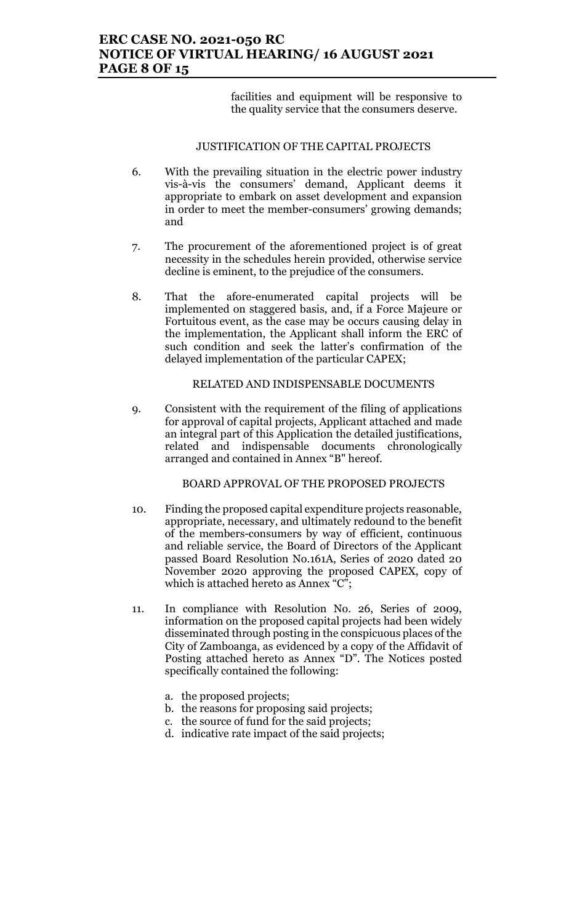## ERC CASE NO. 2021-050 RC NOTICE OF VIRTUAL HEARING/ 16 AUGUST 2021 PAGE 8 OF 15

facilities and equipment will be responsive to the quality service that the consumers deserve.

#### JUSTIFICATION OF THE CAPITAL PROJECTS

- 6. With the prevailing situation in the electric power industry vis-à-vis the consumers' demand, Applicant deems it appropriate to embark on asset development and expansion in order to meet the member-consumers' growing demands; and
- 7. The procurement of the aforementioned project is of great necessity in the schedules herein provided, otherwise service decline is eminent, to the prejudice of the consumers.
- 8. That the afore-enumerated capital projects will be implemented on staggered basis, and, if a Force Majeure or Fortuitous event, as the case may be occurs causing delay in the implementation, the Applicant shall inform the ERC of such condition and seek the latter's confirmation of the delayed implementation of the particular CAPEX;

#### RELATED AND INDISPENSABLE DOCUMENTS

9. Consistent with the requirement of the filing of applications for approval of capital projects, Applicant attached and made an integral part of this Application the detailed justifications, related and indispensable documents chronologically arranged and contained in Annex "B" hereof.

BOARD APPROVAL OF THE PROPOSED PROJECTS

- 10. Finding the proposed capital expenditure projects reasonable, appropriate, necessary, and ultimately redound to the benefit of the members-consumers by way of efficient, continuous and reliable service, the Board of Directors of the Applicant passed Board Resolution No.161A, Series of 2020 dated 20 November 2020 approving the proposed CAPEX, copy of which is attached hereto as Annex "C";
- 11. In compliance with Resolution No. 26, Series of 2009, information on the proposed capital projects had been widely disseminated through posting in the conspicuous places of the City of Zamboanga, as evidenced by a copy of the Affidavit of Posting attached hereto as Annex "D". The Notices posted specifically contained the following:
	- a. the proposed projects;
	- b. the reasons for proposing said projects;
	- c. the source of fund for the said projects;
	- d. indicative rate impact of the said projects;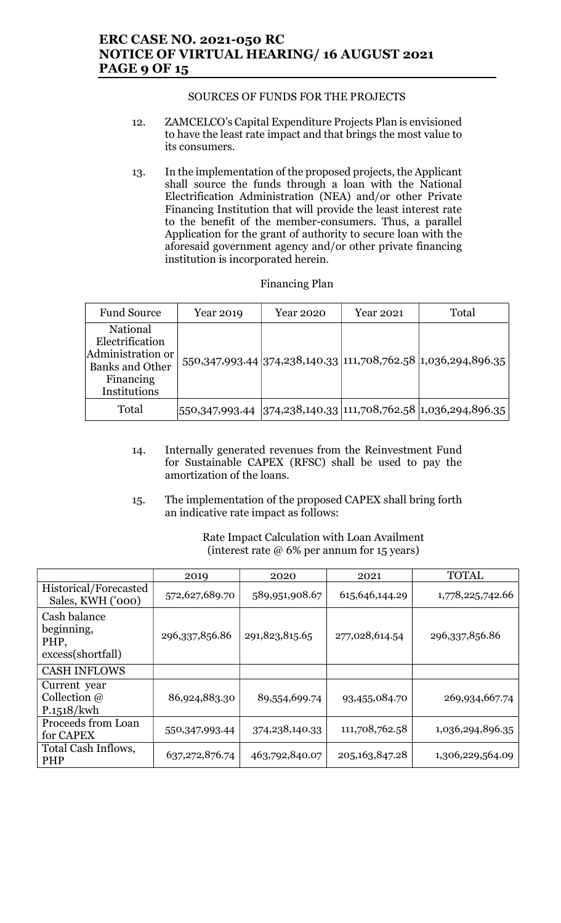### ERC CASE NO. 2021-050 RC NOTICE OF VIRTUAL HEARING/ 16 AUGUST 2021 PAGE 9 OF 15

#### SOURCES OF FUNDS FOR THE PROJECTS

- 12. ZAMCELCO's Capital Expenditure Projects Plan is envisioned to have the least rate impact and that brings the most value to its consumers.
- 13. In the implementation of the proposed projects, the Applicant shall source the funds through a loan with the National Electrification Administration (NEA) and/or other Private Financing Institution that will provide the least interest rate to the benefit of the member-consumers. Thus, a parallel Application for the grant of authority to secure loan with the aforesaid government agency and/or other private financing institution is incorporated herein.

| <b>Financing Plan</b> |
|-----------------------|
|-----------------------|

| <b>Fund Source</b>                                                                                      | Year 2019 | Year 2020 | Year 2021 | Total                                                                  |
|---------------------------------------------------------------------------------------------------------|-----------|-----------|-----------|------------------------------------------------------------------------|
| National<br>Electrification<br>Administration or<br><b>Banks and Other</b><br>Financing<br>Institutions |           |           |           | 550, 347, 993.44 374, 238, 140.33 111, 708, 762.58 1, 036, 294, 896.35 |
| Total                                                                                                   |           |           |           | $ 550,347,993.44 374,238,140.33 111,708,762.58 1,036,294,896.35 $      |

- 14. Internally generated revenues from the Reinvestment Fund for Sustainable CAPEX (RFSC) shall be used to pay the amortization of the loans.
- 15. The implementation of the proposed CAPEX shall bring forth an indicative rate impact as follows:

Rate Impact Calculation with Loan Availment (interest rate @ 6% per annum for 15 years)

|                                                         | 2019             | 2020              | 2021              | <b>TOTAL</b>     |
|---------------------------------------------------------|------------------|-------------------|-------------------|------------------|
| Historical/Forecasted<br>Sales, KWH ('000)              | 572,627,689.70   | 589,951,908.67    | 615, 646, 144. 29 | 1,778,225,742.66 |
| Cash balance<br>beginning,<br>PHP,<br>excess(shortfall) | 296,337,856.86   | 291,823,815.65    | 277,028,614.54    | 296,337,856.86   |
| <b>CASH INFLOWS</b>                                     |                  |                   |                   |                  |
| Current year<br>Collection $\omega$<br>P.1518/kwh       | 86,924,883.30    | 89,554,699.74     | 93,455,084.70     | 269,934,667.74   |
| Proceeds from Loan<br>for CAPEX                         | 550,347,993.44   | 374, 238, 140. 33 | 111,708,762.58    | 1,036,294,896.35 |
| Total Cash Inflows,<br><b>PHP</b>                       | 637, 272, 876.74 | 463,792,840.07    | 205, 163, 847. 28 | 1,306,229,564.09 |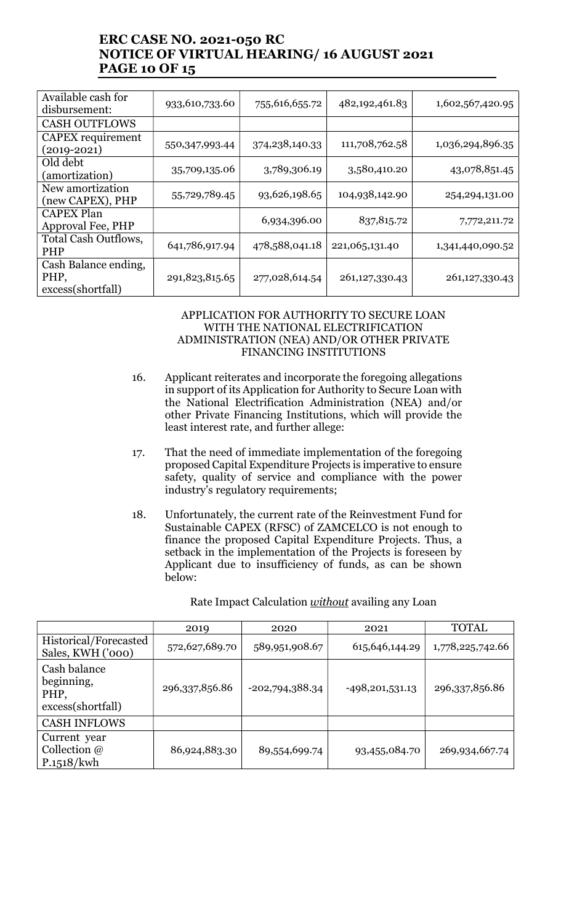## ERC CASE NO. 2021-050 RC NOTICE OF VIRTUAL HEARING/ 16 AUGUST 2021 PAGE 10 OF 15

| Available cash for<br>disbursement:               | 933,610,733.60 | 755,616,655.72 | 482,192,461.83    | 1,602,567,420.95 |
|---------------------------------------------------|----------------|----------------|-------------------|------------------|
| <b>CASH OUTFLOWS</b>                              |                |                |                   |                  |
| CAPEX requirement<br>$(2019 - 2021)$              | 550,347,993.44 | 374,238,140.33 | 111,708,762.58    | 1,036,294,896.35 |
| Old debt<br>(amortization)                        | 35,709,135.06  | 3,789,306.19   | 3,580,410.20      | 43,078,851.45    |
| New amortization<br>(new CAPEX), PHP              | 55,729,789.45  | 93,626,198.65  | 104,938,142.90    | 254, 294, 131.00 |
| <b>CAPEX Plan</b><br>Approval Fee, PHP            |                | 6,934,396.00   | 837, 815.72       | 7,772,211.72     |
| Total Cash Outflows,<br><b>PHP</b>                | 641,786,917.94 | 478,588,041.18 | 221,065,131.40    | 1,341,440,090.52 |
| Cash Balance ending,<br>PHP,<br>excess(shortfall) | 291,823,815.65 | 277,028,614.54 | 261, 127, 330. 43 | 261,127,330.43   |

#### APPLICATION FOR AUTHORITY TO SECURE LOAN WITH THE NATIONAL ELECTRIFICATION ADMINISTRATION (NEA) AND/OR OTHER PRIVATE FINANCING INSTITUTIONS

- 16. Applicant reiterates and incorporate the foregoing allegations in support of its Application for Authority to Secure Loan with the National Electrification Administration (NEA) and/or other Private Financing Institutions, which will provide the least interest rate, and further allege:
- 17. That the need of immediate implementation of the foregoing proposed Capital Expenditure Projects is imperative to ensure safety, quality of service and compliance with the power industry's regulatory requirements;
- 18. Unfortunately, the current rate of the Reinvestment Fund for Sustainable CAPEX (RFSC) of ZAMCELCO is not enough to finance the proposed Capital Expenditure Projects. Thus, a setback in the implementation of the Projects is foreseen by Applicant due to insufficiency of funds, as can be shown below:

Rate Impact Calculation *without* availing any Loan

|                                                         | 2019           | 2020              | 2021              | <b>TOTAL</b>     |
|---------------------------------------------------------|----------------|-------------------|-------------------|------------------|
| Historical/Forecasted<br>Sales, KWH ('000)              | 572,627,689.70 | 589,951,908.67    | 615, 646, 144. 29 | 1,778,225,742.66 |
| Cash balance<br>beginning,<br>PHP,<br>excess(shortfall) | 296,337,856.86 | $-202,794,388.34$ | $-498,201,531.13$ | 296,337,856.86   |
| <b>CASH INFLOWS</b>                                     |                |                   |                   |                  |
| Current year<br>Collection $\omega$<br>P.1518/kwh       | 86,924,883.30  | 89,554,699.74     | 93,455,084.70     | 269,934,667.74   |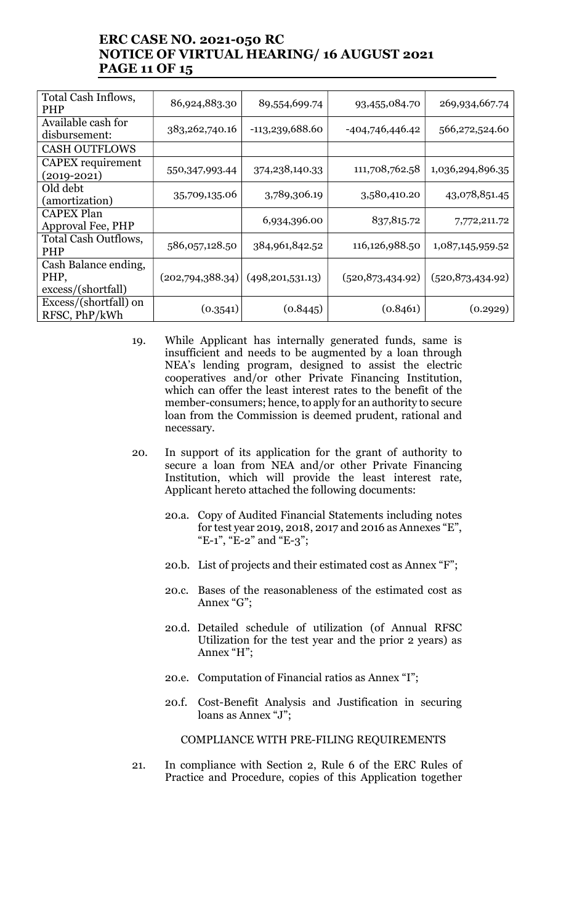## ERC CASE NO. 2021-050 RC NOTICE OF VIRTUAL HEARING/ 16 AUGUST 2021 PAGE 11 OF 15

| Total Cash Inflows,<br><b>PHP</b>                  | 86,924,883.30    | 89,554,699.74      | 93,455,084.70      | 269,934,667.74     |
|----------------------------------------------------|------------------|--------------------|--------------------|--------------------|
| Available cash for<br>disbursement:                | 383, 262, 740.16 | -113,239,688.60    | -404,746,446.42    | 566,272,524.60     |
| <b>CASH OUTFLOWS</b>                               |                  |                    |                    |                    |
| CAPEX requirement<br>$(2019 - 2021)$               | 550,347,993.44   | 374,238,140.33     | 111,708,762.58     | 1,036,294,896.35   |
| Old debt<br>(amortization)                         | 35,709,135.06    | 3,789,306.19       | 3,580,410.20       | 43,078,851.45      |
| <b>CAPEX Plan</b><br>Approval Fee, PHP             |                  | 6,934,396.00       | 837, 815.72        | 7,772,211.72       |
| Total Cash Outflows,<br><b>PHP</b>                 | 586,057,128.50   | 384,961,842.52     | 116,126,988.50     | 1,087,145,959.52   |
| Cash Balance ending,<br>PHP,<br>excess/(shortfall) | (202,794,388.34) | (498, 201, 531.13) | (520, 873, 434.92) | (520, 873, 434.92) |
| Excess/(shortfall) on<br>RFSC, PhP/kWh             | (0.3541)         | (0.8445)           | (0.8461)           | (0.2929)           |

- 19. While Applicant has internally generated funds, same is insufficient and needs to be augmented by a loan through NEA's lending program, designed to assist the electric cooperatives and/or other Private Financing Institution, which can offer the least interest rates to the benefit of the member-consumers; hence, to apply for an authority to secure loan from the Commission is deemed prudent, rational and necessary.
- 20. In support of its application for the grant of authority to secure a loan from NEA and/or other Private Financing Institution, which will provide the least interest rate, Applicant hereto attached the following documents:
	- 20.a. Copy of Audited Financial Statements including notes for test year 2019, 2018, 2017 and 2016 as Annexes "E", "E-1", "E-2" and "E-3";
	- 20.b. List of projects and their estimated cost as Annex "F";
	- 20.c. Bases of the reasonableness of the estimated cost as Annex "G";
	- 20.d. Detailed schedule of utilization (of Annual RFSC Utilization for the test year and the prior 2 years) as Annex "H";
	- 20.e. Computation of Financial ratios as Annex "I";
	- 20.f. Cost-Benefit Analysis and Justification in securing loans as Annex "J";

COMPLIANCE WITH PRE-FILING REQUIREMENTS

21. In compliance with Section 2, Rule 6 of the ERC Rules of Practice and Procedure, copies of this Application together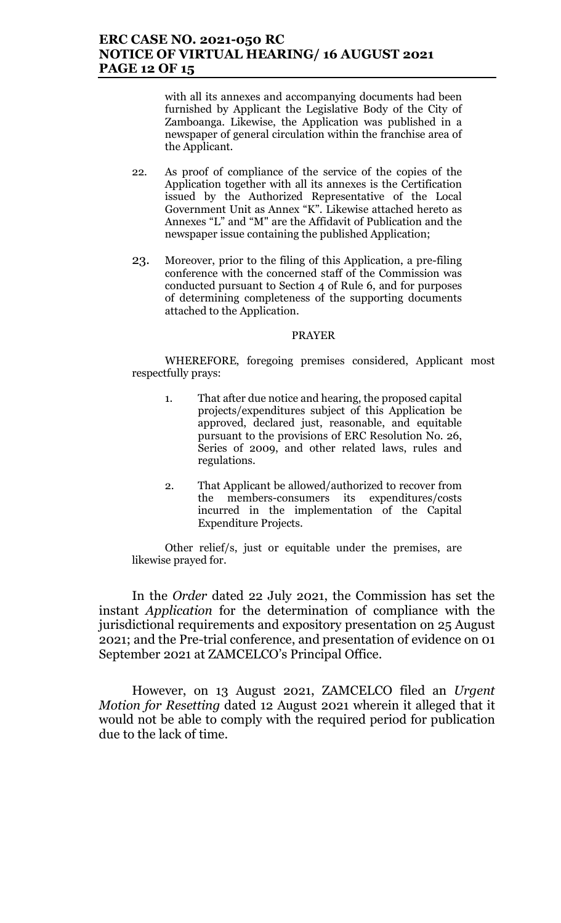### ERC CASE NO. 2021-050 RC NOTICE OF VIRTUAL HEARING/ 16 AUGUST 2021 PAGE 12 OF 15

with all its annexes and accompanying documents had been furnished by Applicant the Legislative Body of the City of Zamboanga. Likewise, the Application was published in a newspaper of general circulation within the franchise area of the Applicant.

- 22. As proof of compliance of the service of the copies of the Application together with all its annexes is the Certification issued by the Authorized Representative of the Local Government Unit as Annex "K". Likewise attached hereto as Annexes "L" and "M" are the Affidavit of Publication and the newspaper issue containing the published Application;
- 23. Moreover, prior to the filing of this Application, a pre-filing conference with the concerned staff of the Commission was conducted pursuant to Section 4 of Rule 6, and for purposes of determining completeness of the supporting documents attached to the Application.

#### PRAYER

WHEREFORE, foregoing premises considered, Applicant most respectfully prays:

- 1. That after due notice and hearing, the proposed capital projects/expenditures subject of this Application be approved, declared just, reasonable, and equitable pursuant to the provisions of ERC Resolution No. 26, Series of 2009, and other related laws, rules and regulations.
- 2. That Applicant be allowed/authorized to recover from the members-consumers its expenditures/costs incurred in the implementation of the Capital Expenditure Projects.

Other relief/s, just or equitable under the premises, are likewise prayed for.

In the Order dated 22 July 2021, the Commission has set the instant Application for the determination of compliance with the jurisdictional requirements and expository presentation on 25 August 2021; and the Pre-trial conference, and presentation of evidence on 01 September 2021 at ZAMCELCO's Principal Office.

However, on 13 August 2021, ZAMCELCO filed an Urgent Motion for Resetting dated 12 August 2021 wherein it alleged that it would not be able to comply with the required period for publication due to the lack of time.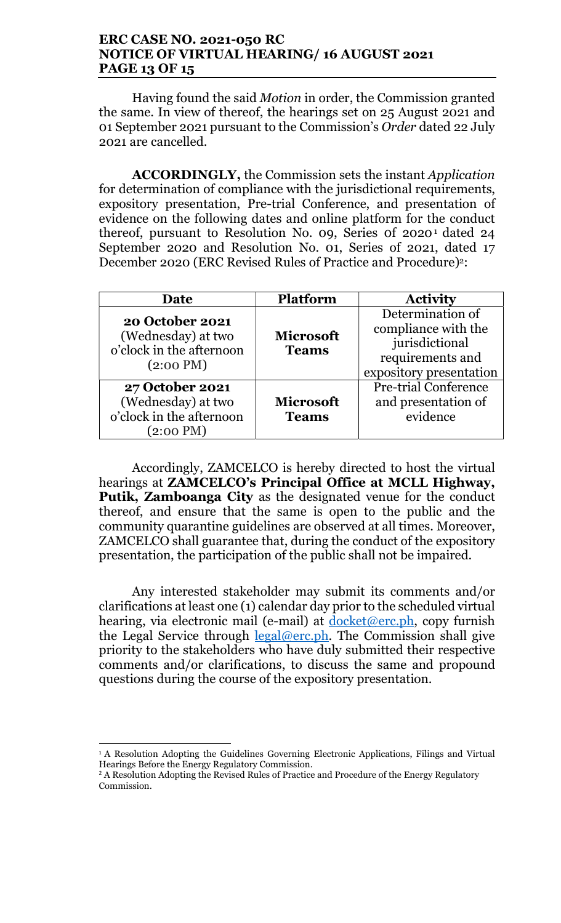### ERC CASE NO. 2021-050 RC NOTICE OF VIRTUAL HEARING/ 16 AUGUST 2021 PAGE 13 OF 15

Having found the said Motion in order, the Commission granted the same. In view of thereof, the hearings set on 25 August 2021 and 01 September 2021 pursuant to the Commission's Order dated 22 July 2021 are cancelled.

ACCORDINGLY, the Commission sets the instant Application for determination of compliance with the jurisdictional requirements, expository presentation, Pre-trial Conference, and presentation of evidence on the following dates and online platform for the conduct thereof, pursuant to Resolution No. 09, Series 0f 2020<sup>1</sup> dated 24 September 2020 and Resolution No. 01, Series of 2021, dated 17 December 2020 (ERC Revised Rules of Practice and Procedure)<sup>2</sup>:

| Date                                                                                            | <b>Platform</b>                  | <b>Activity</b>                                                                                          |
|-------------------------------------------------------------------------------------------------|----------------------------------|----------------------------------------------------------------------------------------------------------|
| <b>20 October 2021</b><br>(Wednesday) at two<br>o'clock in the afternoon<br>$(2:00 \text{ PM})$ | <b>Microsoft</b><br><b>Teams</b> | Determination of<br>compliance with the<br>jurisdictional<br>requirements and<br>expository presentation |
| <b>27 October 2021</b><br>(Wednesday) at two<br>o'clock in the afternoon<br>$(2:00 \text{ PM})$ | <b>Microsoft</b><br><b>Teams</b> | <b>Pre-trial Conference</b><br>and presentation of<br>evidence                                           |

Accordingly, ZAMCELCO is hereby directed to host the virtual hearings at **ZAMCELCO's Principal Office at MCLL Highway**, Putik, Zamboanga City as the designated venue for the conduct thereof, and ensure that the same is open to the public and the community quarantine guidelines are observed at all times. Moreover, ZAMCELCO shall guarantee that, during the conduct of the expository presentation, the participation of the public shall not be impaired.

Any interested stakeholder may submit its comments and/or clarifications at least one (1) calendar day prior to the scheduled virtual hearing, via electronic mail (e-mail) at docket@erc.ph, copy furnish the Legal Service through  $\frac{\text{legal@erc.ph.}}{\text{#}}$ . The Commission shall give priority to the stakeholders who have duly submitted their respective comments and/or clarifications, to discuss the same and propound questions during the course of the expository presentation.

<sup>&</sup>lt;sup>1</sup> A Resolution Adopting the Guidelines Governing Electronic Applications, Filings and Virtual Hearings Before the Energy Regulatory Commission.

 $2A$  Resolution Adopting the Revised Rules of Practice and Procedure of the Energy Regulatory Commission.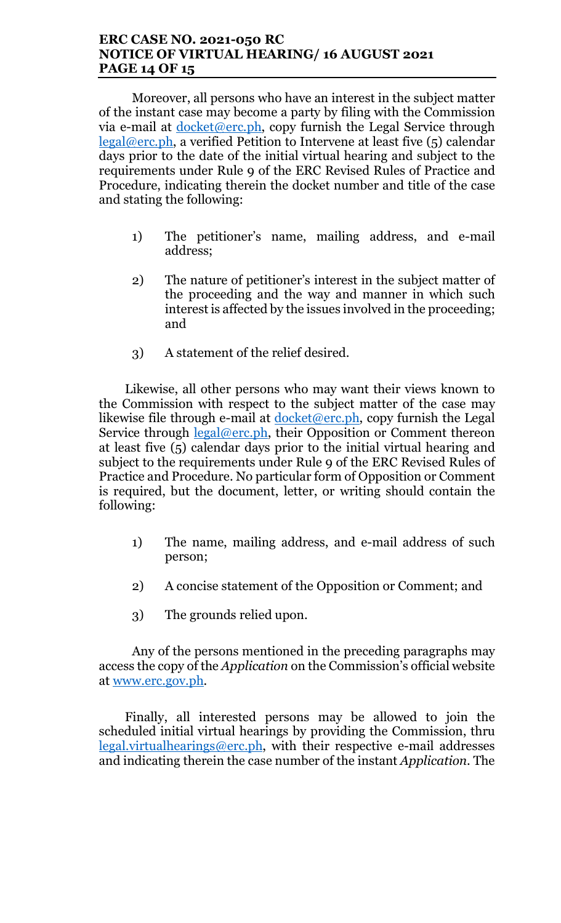### ERC CASE NO. 2021-050 RC NOTICE OF VIRTUAL HEARING/ 16 AUGUST 2021 PAGE 14 OF 15

Moreover, all persons who have an interest in the subject matter of the instant case may become a party by filing with the Commission via e-mail at docket@erc.ph, copy furnish the Legal Service through  $\text{legal@erc.ph.}$  a verified Petition to Intervene at least five (5) calendar days prior to the date of the initial virtual hearing and subject to the requirements under Rule 9 of the ERC Revised Rules of Practice and Procedure, indicating therein the docket number and title of the case and stating the following:

- 1) The petitioner's name, mailing address, and e-mail address;
- 2) The nature of petitioner's interest in the subject matter of the proceeding and the way and manner in which such interest is affected by the issues involved in the proceeding; and
- 3) A statement of the relief desired.

Likewise, all other persons who may want their views known to the Commission with respect to the subject matter of the case may likewise file through e-mail at  $d$ ocket@erc.ph, copy furnish the Legal Service through <u>legal@erc.ph</u>, their Opposition or Comment thereon at least five (5) calendar days prior to the initial virtual hearing and subject to the requirements under Rule 9 of the ERC Revised Rules of Practice and Procedure. No particular form of Opposition or Comment is required, but the document, letter, or writing should contain the following:

- 1) The name, mailing address, and e-mail address of such person;
- 2) A concise statement of the Opposition or Comment; and
- 3) The grounds relied upon.

Any of the persons mentioned in the preceding paragraphs may access the copy of the Application on the Commission's official website at www.erc.gov.ph.

Finally, all interested persons may be allowed to join the scheduled initial virtual hearings by providing the Commission, thru  $legal.virtualhearings@erc.ph,$  with their respective e-mail addresses and indicating therein the case number of the instant Application. The